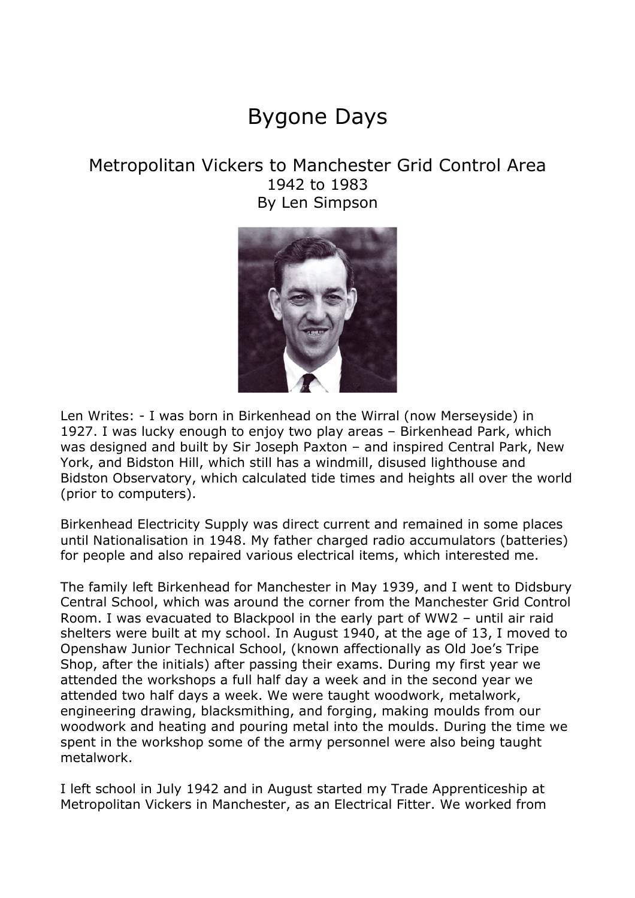## Bygone Days

## Metropolitan Vickers to Manchester Grid Control Area 1942 to 1983 By Len Simpson



Len Writes: - I was born in Birkenhead on the Wirral (now Merseyside) in 1927. I was lucky enough to enjoy two play areas – Birkenhead Park, which was designed and built by Sir Joseph Paxton – and inspired Central Park, New York, and Bidston Hill, which still has a windmill, disused lighthouse and Bidston Observatory, which calculated tide times and heights all over the world (prior to computers).

Birkenhead Electricity Supply was direct current and remained in some places until Nationalisation in 1948. My father charged radio accumulators (batteries) for people and also repaired various electrical items, which interested me.

The family left Birkenhead for Manchester in May 1939, and I went to Didsbury Central School, which was around the corner from the Manchester Grid Control Room. I was evacuated to Blackpool in the early part of WW2 – until air raid shelters were built at my school. In August 1940, at the age of 13, I moved to Openshaw Junior Technical School, (known affectionally as Old Joe's Tripe Shop, after the initials) after passing their exams. During my first year we attended the workshops a full half day a week and in the second year we attended two half days a week. We were taught woodwork, metalwork, engineering drawing, blacksmithing, and forging, making moulds from our woodwork and heating and pouring metal into the moulds. During the time we spent in the workshop some of the army personnel were also being taught metalwork.

I left school in July 1942 and in August started my Trade Apprenticeship at Metropolitan Vickers in Manchester, as an Electrical Fitter. We worked from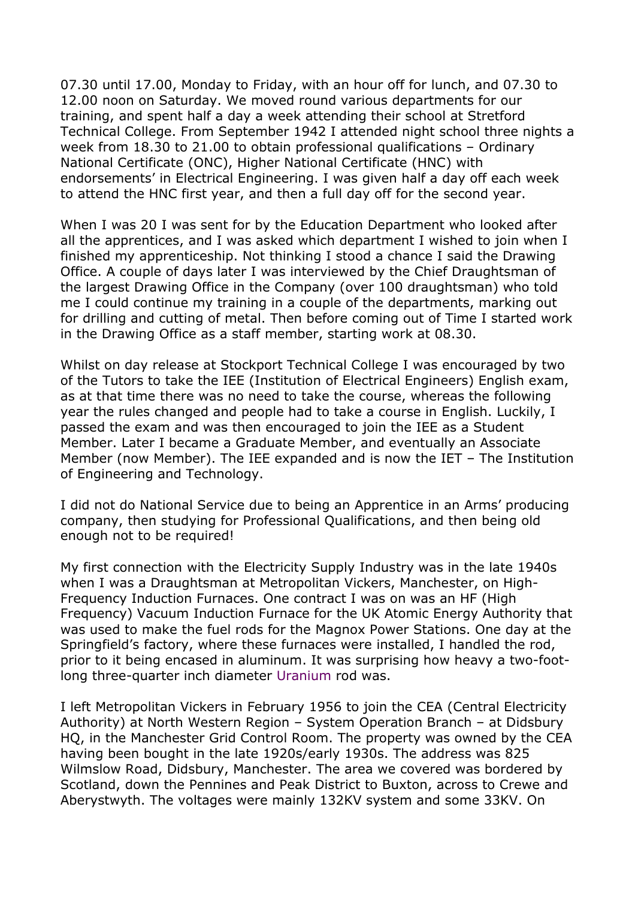07.30 until 17.00, Monday to Friday, with an hour off for lunch, and 07.30 to 12.00 noon on Saturday. We moved round various departments for our training, and spent half a day a week attending their school at Stretford Technical College. From September 1942 I attended night school three nights a week from 18.30 to 21.00 to obtain professional qualifications – Ordinary National Certificate (ONC), Higher National Certificate (HNC) with endorsements' in Electrical Engineering. I was given half a day off each week to attend the HNC first year, and then a full day off for the second year.

When I was 20 I was sent for by the Education Department who looked after all the apprentices, and I was asked which department I wished to join when I finished my apprenticeship. Not thinking I stood a chance I said the Drawing Office. A couple of days later I was interviewed by the Chief Draughtsman of the largest Drawing Office in the Company (over 100 draughtsman) who told me I could continue my training in a couple of the departments, marking out for drilling and cutting of metal. Then before coming out of Time I started work in the Drawing Office as a staff member, starting work at 08.30.

Whilst on day release at Stockport Technical College I was encouraged by two of the Tutors to take the IEE (Institution of Electrical Engineers) English exam, as at that time there was no need to take the course, whereas the following year the rules changed and people had to take a course in English. Luckily, I passed the exam and was then encouraged to join the IEE as a Student Member. Later I became a Graduate Member, and eventually an Associate Member (now Member). The IEE expanded and is now the IET – The Institution of Engineering and Technology.

I did not do National Service due to being an Apprentice in an Arms' producing company, then studying for Professional Qualifications, and then being old enough not to be required!

My first connection with the Electricity Supply Industry was in the late 1940s when I was a Draughtsman at Metropolitan Vickers, Manchester, on High-Frequency Induction Furnaces. One contract I was on was an HF (High Frequency) Vacuum Induction Furnace for the UK Atomic Energy Authority that was used to make the fuel rods for the Magnox Power Stations. One day at the Springfield's factory, where these furnaces were installed, I handled the rod, prior to it being encased in aluminum. It was surprising how heavy a two-footlong three-quarter inch diameter Uranium rod was.

I left Metropolitan Vickers in February 1956 to join the CEA (Central Electricity Authority) at North Western Region – System Operation Branch – at Didsbury HQ, in the Manchester Grid Control Room. The property was owned by the CEA having been bought in the late 1920s/early 1930s. The address was 825 Wilmslow Road, Didsbury, Manchester. The area we covered was bordered by Scotland, down the Pennines and Peak District to Buxton, across to Crewe and Aberystwyth. The voltages were mainly 132KV system and some 33KV. On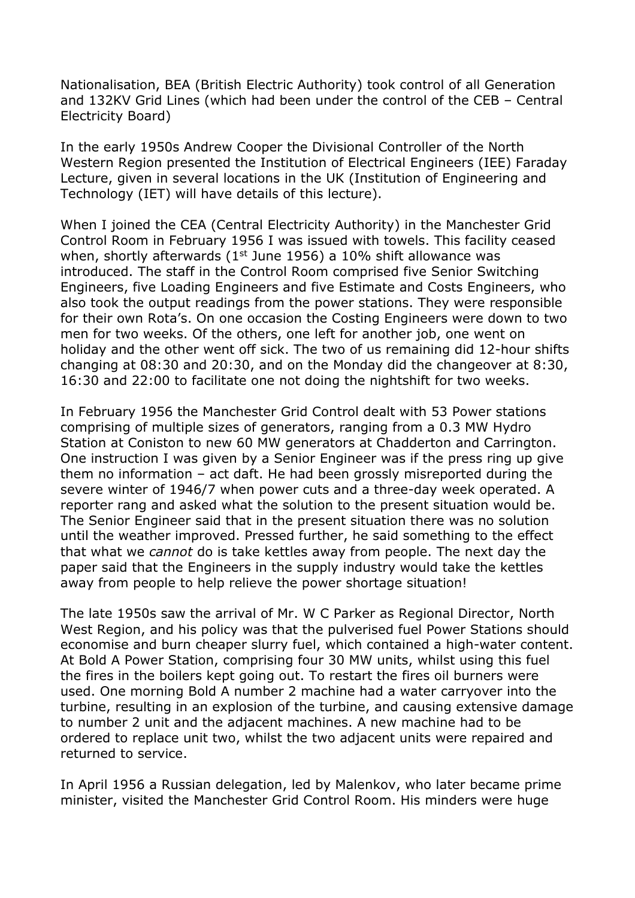Nationalisation, BEA (British Electric Authority) took control of all Generation and 132KV Grid Lines (which had been under the control of the CEB – Central Electricity Board)

In the early 1950s Andrew Cooper the Divisional Controller of the North Western Region presented the Institution of Electrical Engineers (IEE) Faraday Lecture, given in several locations in the UK (Institution of Engineering and Technology (IET) will have details of this lecture).

When I joined the CEA (Central Electricity Authority) in the Manchester Grid Control Room in February 1956 I was issued with towels. This facility ceased when, shortly afterwards ( $1<sup>st</sup>$  June 1956) a 10% shift allowance was introduced. The staff in the Control Room comprised five Senior Switching Engineers, five Loading Engineers and five Estimate and Costs Engineers, who also took the output readings from the power stations. They were responsible for their own Rota's. On one occasion the Costing Engineers were down to two men for two weeks. Of the others, one left for another job, one went on holiday and the other went off sick. The two of us remaining did 12-hour shifts changing at 08:30 and 20:30, and on the Monday did the changeover at 8:30, 16:30 and 22:00 to facilitate one not doing the nightshift for two weeks.

In February 1956 the Manchester Grid Control dealt with 53 Power stations comprising of multiple sizes of generators, ranging from a 0.3 MW Hydro Station at Coniston to new 60 MW generators at Chadderton and Carrington. One instruction I was given by a Senior Engineer was if the press ring up give them no information – act daft. He had been grossly misreported during the severe winter of 1946/7 when power cuts and a three-day week operated. A reporter rang and asked what the solution to the present situation would be. The Senior Engineer said that in the present situation there was no solution until the weather improved. Pressed further, he said something to the effect that what we *cannot* do is take kettles away from people. The next day the paper said that the Engineers in the supply industry would take the kettles away from people to help relieve the power shortage situation!

The late 1950s saw the arrival of Mr. W C Parker as Regional Director, North West Region, and his policy was that the pulverised fuel Power Stations should economise and burn cheaper slurry fuel, which contained a high-water content. At Bold A Power Station, comprising four 30 MW units, whilst using this fuel the fires in the boilers kept going out. To restart the fires oil burners were used. One morning Bold A number 2 machine had a water carryover into the turbine, resulting in an explosion of the turbine, and causing extensive damage to number 2 unit and the adjacent machines. A new machine had to be ordered to replace unit two, whilst the two adjacent units were repaired and returned to service.

In April 1956 a Russian delegation, led by Malenkov, who later became prime minister, visited the Manchester Grid Control Room. His minders were huge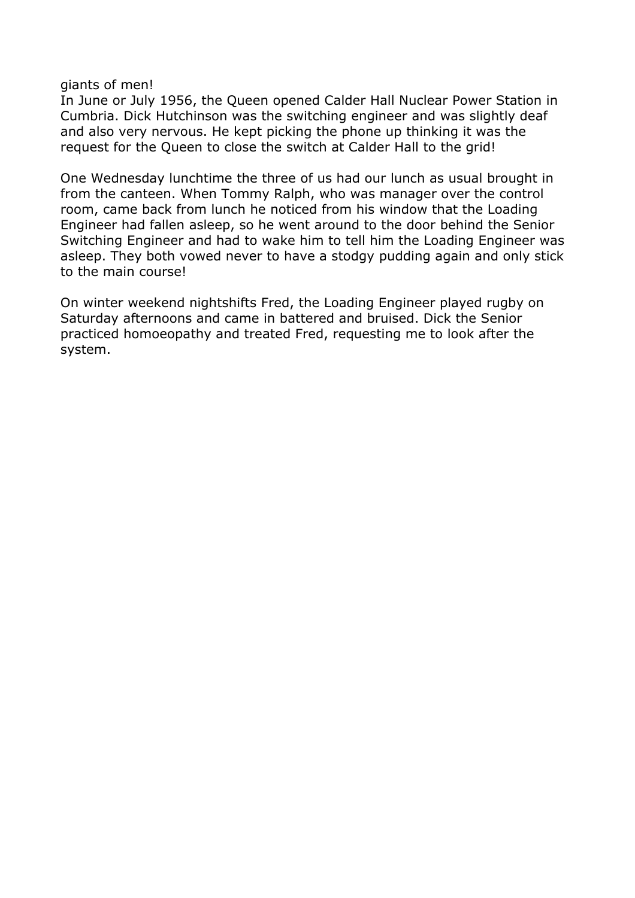giants of men!

In June or July 1956, the Queen opened Calder Hall Nuclear Power Station in Cumbria. Dick Hutchinson was the switching engineer and was slightly deaf and also very nervous. He kept picking the phone up thinking it was the request for the Queen to close the switch at Calder Hall to the grid!

One Wednesday lunchtime the three of us had our lunch as usual brought in from the canteen. When Tommy Ralph, who was manager over the control room, came back from lunch he noticed from his window that the Loading Engineer had fallen asleep, so he went around to the door behind the Senior Switching Engineer and had to wake him to tell him the Loading Engineer was asleep. They both vowed never to have a stodgy pudding again and only stick to the main course!

On winter weekend nightshifts Fred, the Loading Engineer played rugby on Saturday afternoons and came in battered and bruised. Dick the Senior practiced homoeopathy and treated Fred, requesting me to look after the system.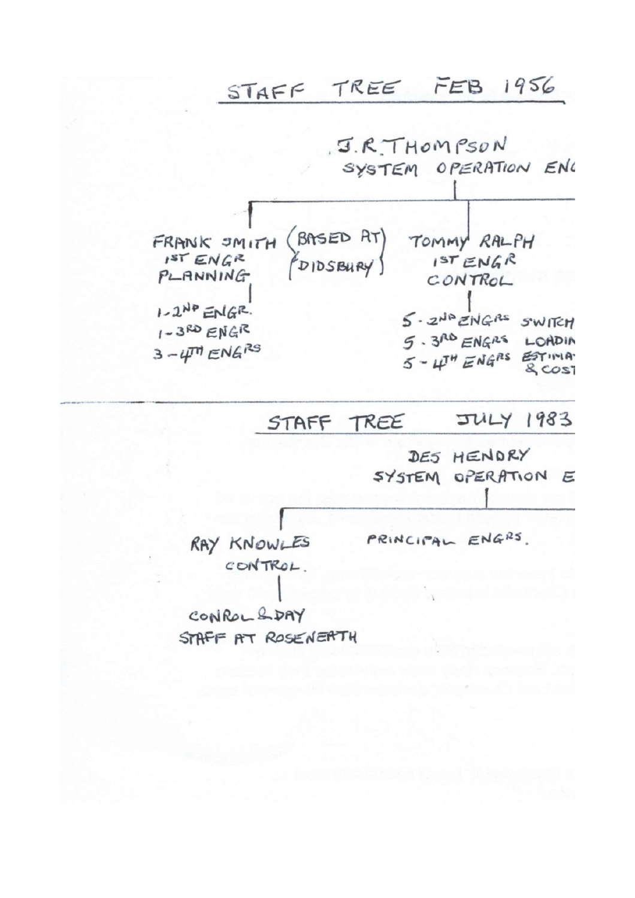STAFF TREE FEB 1956



## **JULY 1983** STAFF TREE

DES HENDRY SYSTEM OPERATION E

RAY KNOWLES CONTROL.

PRINCIPAL ENGRS.

CONROL & DAY STAFF AT ROSENEATH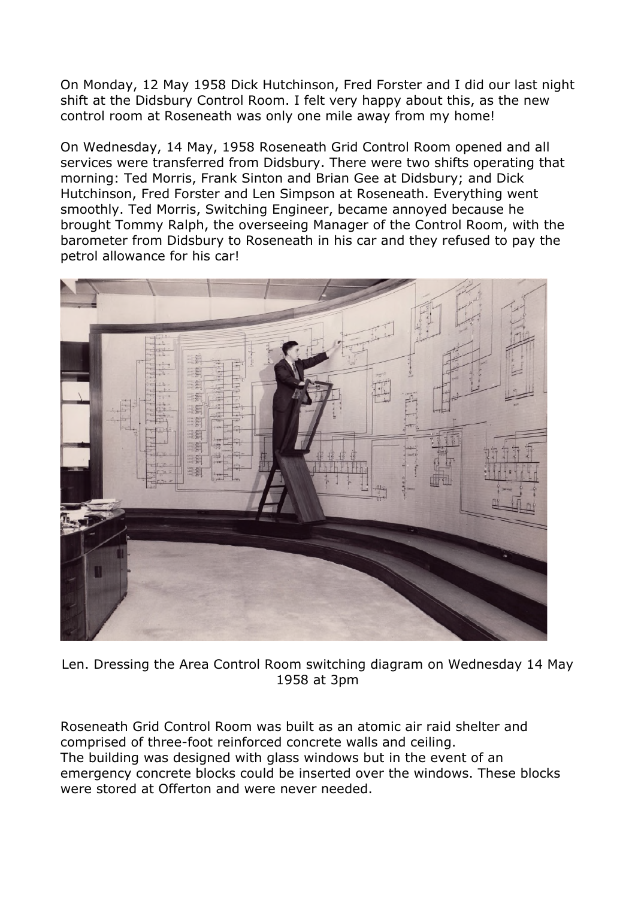On Monday, 12 May 1958 Dick Hutchinson, Fred Forster and I did our last night shift at the Didsbury Control Room. I felt very happy about this, as the new control room at Roseneath was only one mile away from my home!

On Wednesday, 14 May, 1958 Roseneath Grid Control Room opened and all services were transferred from Didsbury. There were two shifts operating that morning: Ted Morris, Frank Sinton and Brian Gee at Didsbury; and Dick Hutchinson, Fred Forster and Len Simpson at Roseneath. Everything went smoothly. Ted Morris, Switching Engineer, became annoyed because he brought Tommy Ralph, the overseeing Manager of the Control Room, with the barometer from Didsbury to Roseneath in his car and they refused to pay the petrol allowance for his car!



Len. Dressing the Area Control Room switching diagram on Wednesday 14 May 1958 at 3pm

Roseneath Grid Control Room was built as an atomic air raid shelter and comprised of three-foot reinforced concrete walls and ceiling. The building was designed with glass windows but in the event of an emergency concrete blocks could be inserted over the windows. These blocks were stored at Offerton and were never needed.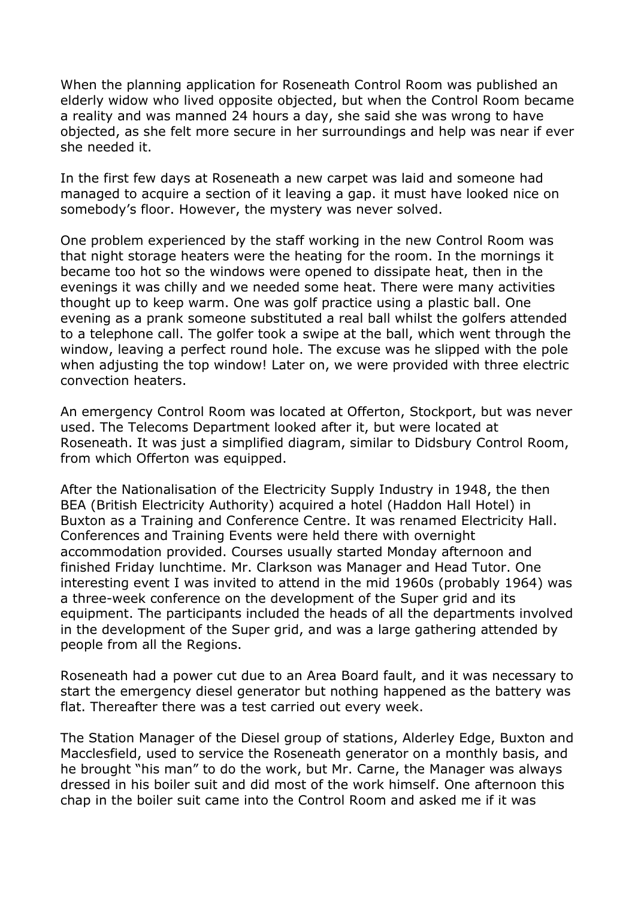When the planning application for Roseneath Control Room was published an elderly widow who lived opposite objected, but when the Control Room became a reality and was manned 24 hours a day, she said she was wrong to have objected, as she felt more secure in her surroundings and help was near if ever she needed it.

In the first few days at Roseneath a new carpet was laid and someone had managed to acquire a section of it leaving a gap. it must have looked nice on somebody's floor. However, the mystery was never solved.

One problem experienced by the staff working in the new Control Room was that night storage heaters were the heating for the room. In the mornings it became too hot so the windows were opened to dissipate heat, then in the evenings it was chilly and we needed some heat. There were many activities thought up to keep warm. One was golf practice using a plastic ball. One evening as a prank someone substituted a real ball whilst the golfers attended to a telephone call. The golfer took a swipe at the ball, which went through the window, leaving a perfect round hole. The excuse was he slipped with the pole when adjusting the top window! Later on, we were provided with three electric convection heaters.

An emergency Control Room was located at Offerton, Stockport, but was never used. The Telecoms Department looked after it, but were located at Roseneath. It was just a simplified diagram, similar to Didsbury Control Room, from which Offerton was equipped.

After the Nationalisation of the Electricity Supply Industry in 1948, the then BEA (British Electricity Authority) acquired a hotel (Haddon Hall Hotel) in Buxton as a Training and Conference Centre. It was renamed Electricity Hall. Conferences and Training Events were held there with overnight accommodation provided. Courses usually started Monday afternoon and finished Friday lunchtime. Mr. Clarkson was Manager and Head Tutor. One interesting event I was invited to attend in the mid 1960s (probably 1964) was a three-week conference on the development of the Super grid and its equipment. The participants included the heads of all the departments involved in the development of the Super grid, and was a large gathering attended by people from all the Regions.

Roseneath had a power cut due to an Area Board fault, and it was necessary to start the emergency diesel generator but nothing happened as the battery was flat. Thereafter there was a test carried out every week.

The Station Manager of the Diesel group of stations, Alderley Edge, Buxton and Macclesfield, used to service the Roseneath generator on a monthly basis, and he brought "his man" to do the work, but Mr. Carne, the Manager was always dressed in his boiler suit and did most of the work himself. One afternoon this chap in the boiler suit came into the Control Room and asked me if it was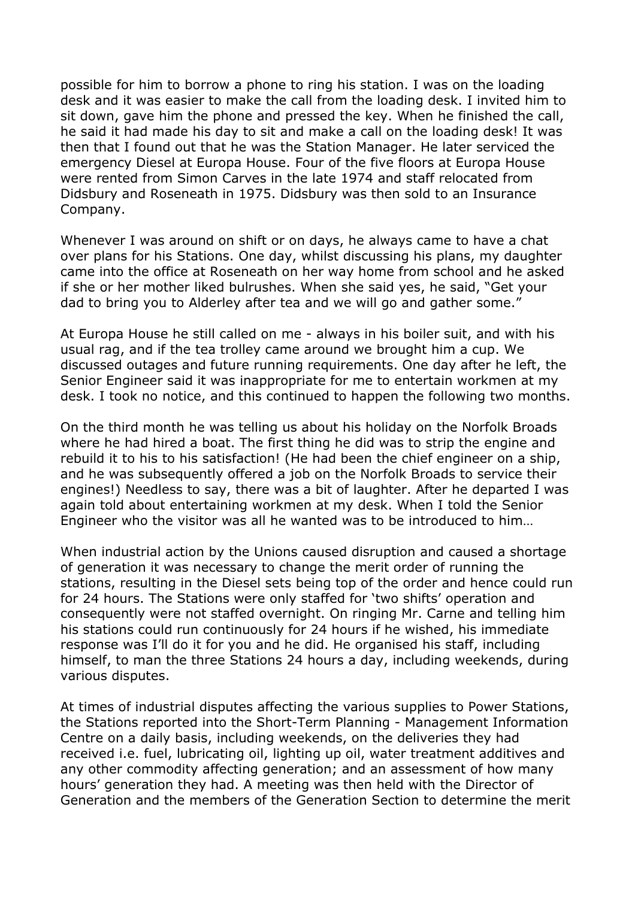possible for him to borrow a phone to ring his station. I was on the loading desk and it was easier to make the call from the loading desk. I invited him to sit down, gave him the phone and pressed the key. When he finished the call, he said it had made his day to sit and make a call on the loading desk! It was then that I found out that he was the Station Manager. He later serviced the emergency Diesel at Europa House. Four of the five floors at Europa House were rented from Simon Carves in the late 1974 and staff relocated from Didsbury and Roseneath in 1975. Didsbury was then sold to an Insurance Company.

Whenever I was around on shift or on days, he always came to have a chat over plans for his Stations. One day, whilst discussing his plans, my daughter came into the office at Roseneath on her way home from school and he asked if she or her mother liked bulrushes. When she said yes, he said, "Get your dad to bring you to Alderley after tea and we will go and gather some."

At Europa House he still called on me - always in his boiler suit, and with his usual rag, and if the tea trolley came around we brought him a cup. We discussed outages and future running requirements. One day after he left, the Senior Engineer said it was inappropriate for me to entertain workmen at my desk. I took no notice, and this continued to happen the following two months.

On the third month he was telling us about his holiday on the Norfolk Broads where he had hired a boat. The first thing he did was to strip the engine and rebuild it to his to his satisfaction! (He had been the chief engineer on a ship, and he was subsequently offered a job on the Norfolk Broads to service their engines!) Needless to say, there was a bit of laughter. After he departed I was again told about entertaining workmen at my desk. When I told the Senior Engineer who the visitor was all he wanted was to be introduced to him…

When industrial action by the Unions caused disruption and caused a shortage of generation it was necessary to change the merit order of running the stations, resulting in the Diesel sets being top of the order and hence could run for 24 hours. The Stations were only staffed for 'two shifts' operation and consequently were not staffed overnight. On ringing Mr. Carne and telling him his stations could run continuously for 24 hours if he wished, his immediate response was I'll do it for you and he did. He organised his staff, including himself, to man the three Stations 24 hours a day, including weekends, during various disputes.

At times of industrial disputes affecting the various supplies to Power Stations, the Stations reported into the Short-Term Planning - Management Information Centre on a daily basis, including weekends, on the deliveries they had received i.e. fuel, lubricating oil, lighting up oil, water treatment additives and any other commodity affecting generation; and an assessment of how many hours' generation they had. A meeting was then held with the Director of Generation and the members of the Generation Section to determine the merit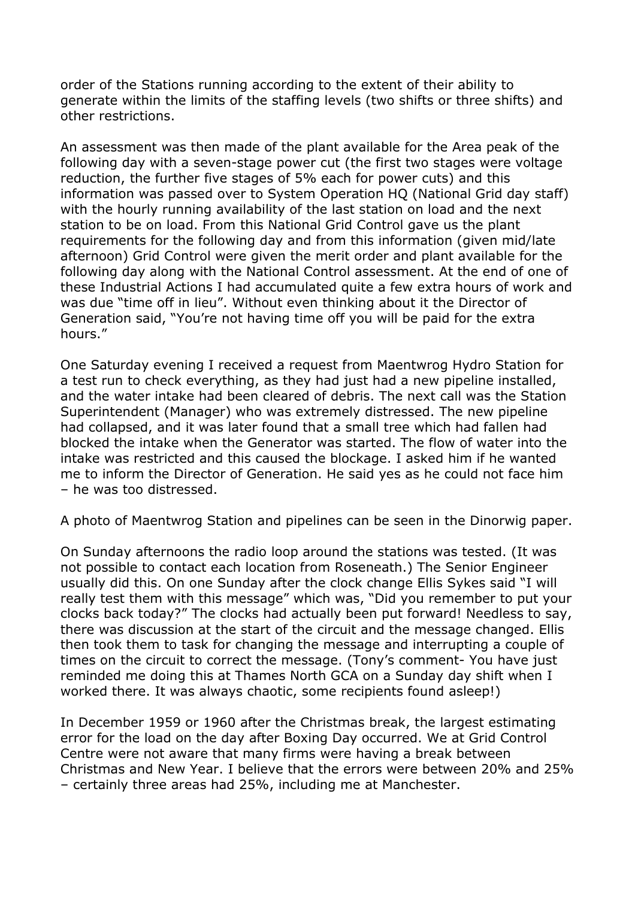order of the Stations running according to the extent of their ability to generate within the limits of the staffing levels (two shifts or three shifts) and other restrictions.

An assessment was then made of the plant available for the Area peak of the following day with a seven-stage power cut (the first two stages were voltage reduction, the further five stages of 5% each for power cuts) and this information was passed over to System Operation HQ (National Grid day staff) with the hourly running availability of the last station on load and the next station to be on load. From this National Grid Control gave us the plant requirements for the following day and from this information (given mid/late afternoon) Grid Control were given the merit order and plant available for the following day along with the National Control assessment. At the end of one of these Industrial Actions I had accumulated quite a few extra hours of work and was due "time off in lieu". Without even thinking about it the Director of Generation said, "You're not having time off you will be paid for the extra hours."

One Saturday evening I received a request from Maentwrog Hydro Station for a test run to check everything, as they had just had a new pipeline installed, and the water intake had been cleared of debris. The next call was the Station Superintendent (Manager) who was extremely distressed. The new pipeline had collapsed, and it was later found that a small tree which had fallen had blocked the intake when the Generator was started. The flow of water into the intake was restricted and this caused the blockage. I asked him if he wanted me to inform the Director of Generation. He said yes as he could not face him – he was too distressed.

A photo of Maentwrog Station and pipelines can be seen in the Dinorwig paper.

On Sunday afternoons the radio loop around the stations was tested. (It was not possible to contact each location from Roseneath.) The Senior Engineer usually did this. On one Sunday after the clock change Ellis Sykes said "I will really test them with this message" which was, "Did you remember to put your clocks back today?" The clocks had actually been put forward! Needless to say, there was discussion at the start of the circuit and the message changed. Ellis then took them to task for changing the message and interrupting a couple of times on the circuit to correct the message. (Tony's comment- You have just reminded me doing this at Thames North GCA on a Sunday day shift when I worked there. It was always chaotic, some recipients found asleep!)

In December 1959 or 1960 after the Christmas break, the largest estimating error for the load on the day after Boxing Day occurred. We at Grid Control Centre were not aware that many firms were having a break between Christmas and New Year. I believe that the errors were between 20% and 25% – certainly three areas had 25%, including me at Manchester.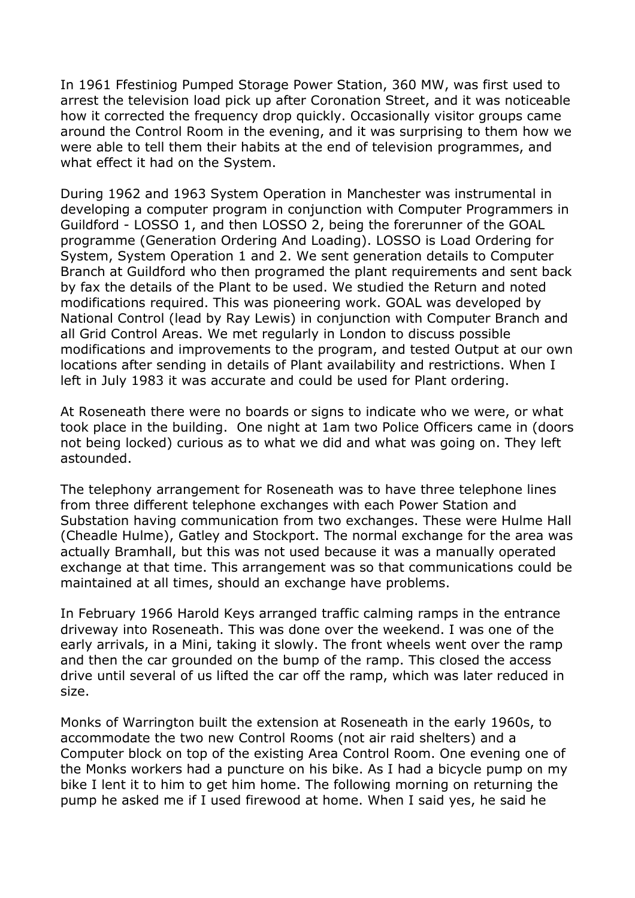In 1961 Ffestiniog Pumped Storage Power Station, 360 MW, was first used to arrest the television load pick up after Coronation Street, and it was noticeable how it corrected the frequency drop quickly. Occasionally visitor groups came around the Control Room in the evening, and it was surprising to them how we were able to tell them their habits at the end of television programmes, and what effect it had on the System.

During 1962 and 1963 System Operation in Manchester was instrumental in developing a computer program in conjunction with Computer Programmers in Guildford - LOSSO 1, and then LOSSO 2, being the forerunner of the GOAL programme (Generation Ordering And Loading). LOSSO is Load Ordering for System, System Operation 1 and 2. We sent generation details to Computer Branch at Guildford who then programed the plant requirements and sent back by fax the details of the Plant to be used. We studied the Return and noted modifications required. This was pioneering work. GOAL was developed by National Control (lead by Ray Lewis) in conjunction with Computer Branch and all Grid Control Areas. We met regularly in London to discuss possible modifications and improvements to the program, and tested Output at our own locations after sending in details of Plant availability and restrictions. When I left in July 1983 it was accurate and could be used for Plant ordering.

At Roseneath there were no boards or signs to indicate who we were, or what took place in the building. One night at 1am two Police Officers came in (doors not being locked) curious as to what we did and what was going on. They left astounded.

The telephony arrangement for Roseneath was to have three telephone lines from three different telephone exchanges with each Power Station and Substation having communication from two exchanges. These were Hulme Hall (Cheadle Hulme), Gatley and Stockport. The normal exchange for the area was actually Bramhall, but this was not used because it was a manually operated exchange at that time. This arrangement was so that communications could be maintained at all times, should an exchange have problems.

In February 1966 Harold Keys arranged traffic calming ramps in the entrance driveway into Roseneath. This was done over the weekend. I was one of the early arrivals, in a Mini, taking it slowly. The front wheels went over the ramp and then the car grounded on the bump of the ramp. This closed the access drive until several of us lifted the car off the ramp, which was later reduced in size.

Monks of Warrington built the extension at Roseneath in the early 1960s, to accommodate the two new Control Rooms (not air raid shelters) and a Computer block on top of the existing Area Control Room. One evening one of the Monks workers had a puncture on his bike. As I had a bicycle pump on my bike I lent it to him to get him home. The following morning on returning the pump he asked me if I used firewood at home. When I said yes, he said he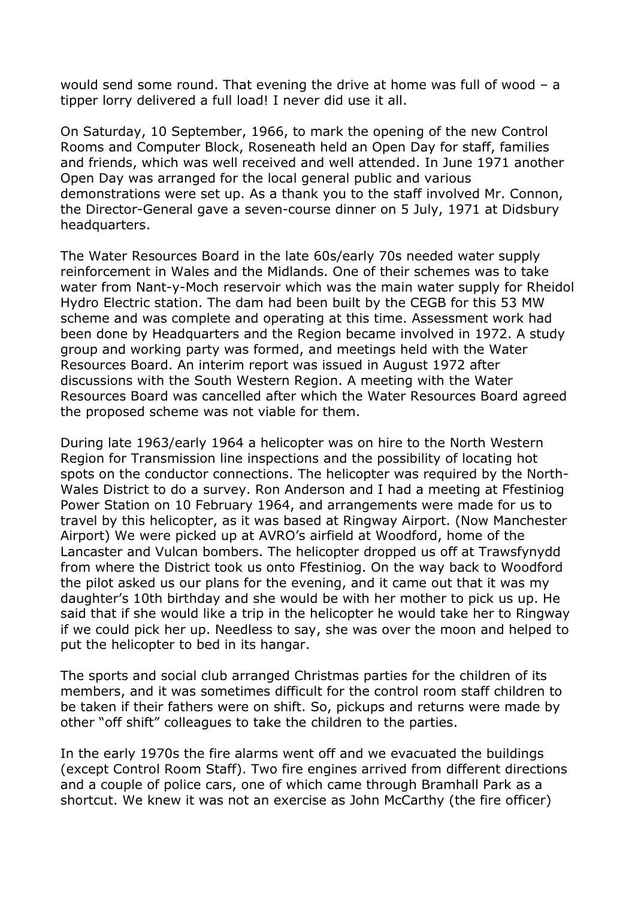would send some round. That evening the drive at home was full of wood – a tipper lorry delivered a full load! I never did use it all.

On Saturday, 10 September, 1966, to mark the opening of the new Control Rooms and Computer Block, Roseneath held an Open Day for staff, families and friends, which was well received and well attended. In June 1971 another Open Day was arranged for the local general public and various demonstrations were set up. As a thank you to the staff involved Mr. Connon, the Director-General gave a seven-course dinner on 5 July, 1971 at Didsbury headquarters.

The Water Resources Board in the late 60s/early 70s needed water supply reinforcement in Wales and the Midlands. One of their schemes was to take water from Nant-y-Moch reservoir which was the main water supply for Rheidol Hydro Electric station. The dam had been built by the CEGB for this 53 MW scheme and was complete and operating at this time. Assessment work had been done by Headquarters and the Region became involved in 1972. A study group and working party was formed, and meetings held with the Water Resources Board. An interim report was issued in August 1972 after discussions with the South Western Region. A meeting with the Water Resources Board was cancelled after which the Water Resources Board agreed the proposed scheme was not viable for them.

During late 1963/early 1964 a helicopter was on hire to the North Western Region for Transmission line inspections and the possibility of locating hot spots on the conductor connections. The helicopter was required by the North-Wales District to do a survey. Ron Anderson and I had a meeting at Ffestiniog Power Station on 10 February 1964, and arrangements were made for us to travel by this helicopter, as it was based at Ringway Airport. (Now Manchester Airport) We were picked up at AVRO's airfield at Woodford, home of the Lancaster and Vulcan bombers. The helicopter dropped us off at Trawsfynydd from where the District took us onto Ffestiniog. On the way back to Woodford the pilot asked us our plans for the evening, and it came out that it was my daughter's 10th birthday and she would be with her mother to pick us up. He said that if she would like a trip in the helicopter he would take her to Ringway if we could pick her up. Needless to say, she was over the moon and helped to put the helicopter to bed in its hangar.

The sports and social club arranged Christmas parties for the children of its members, and it was sometimes difficult for the control room staff children to be taken if their fathers were on shift. So, pickups and returns were made by other "off shift" colleagues to take the children to the parties.

In the early 1970s the fire alarms went off and we evacuated the buildings (except Control Room Staff). Two fire engines arrived from different directions and a couple of police cars, one of which came through Bramhall Park as a shortcut. We knew it was not an exercise as John McCarthy (the fire officer)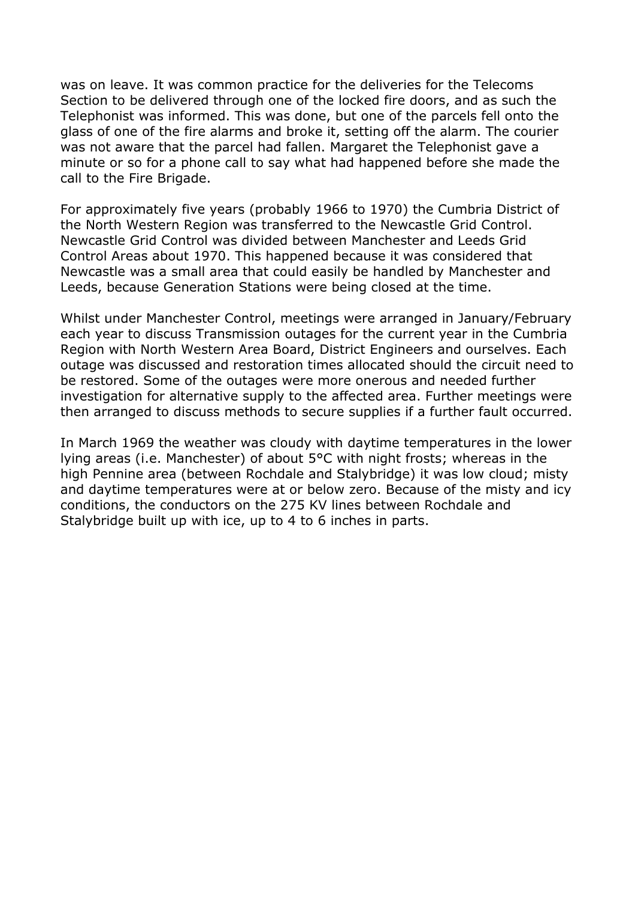was on leave. It was common practice for the deliveries for the Telecoms Section to be delivered through one of the locked fire doors, and as such the Telephonist was informed. This was done, but one of the parcels fell onto the glass of one of the fire alarms and broke it, setting off the alarm. The courier was not aware that the parcel had fallen. Margaret the Telephonist gave a minute or so for a phone call to say what had happened before she made the call to the Fire Brigade.

For approximately five years (probably 1966 to 1970) the Cumbria District of the North Western Region was transferred to the Newcastle Grid Control. Newcastle Grid Control was divided between Manchester and Leeds Grid Control Areas about 1970. This happened because it was considered that Newcastle was a small area that could easily be handled by Manchester and Leeds, because Generation Stations were being closed at the time.

Whilst under Manchester Control, meetings were arranged in January/February each year to discuss Transmission outages for the current year in the Cumbria Region with North Western Area Board, District Engineers and ourselves. Each outage was discussed and restoration times allocated should the circuit need to be restored. Some of the outages were more onerous and needed further investigation for alternative supply to the affected area. Further meetings were then arranged to discuss methods to secure supplies if a further fault occurred.

In March 1969 the weather was cloudy with daytime temperatures in the lower lying areas (i.e. Manchester) of about 5°C with night frosts; whereas in the high Pennine area (between Rochdale and Stalybridge) it was low cloud; misty and daytime temperatures were at or below zero. Because of the misty and icy conditions, the conductors on the 275 KV lines between Rochdale and Stalybridge built up with ice, up to 4 to 6 inches in parts.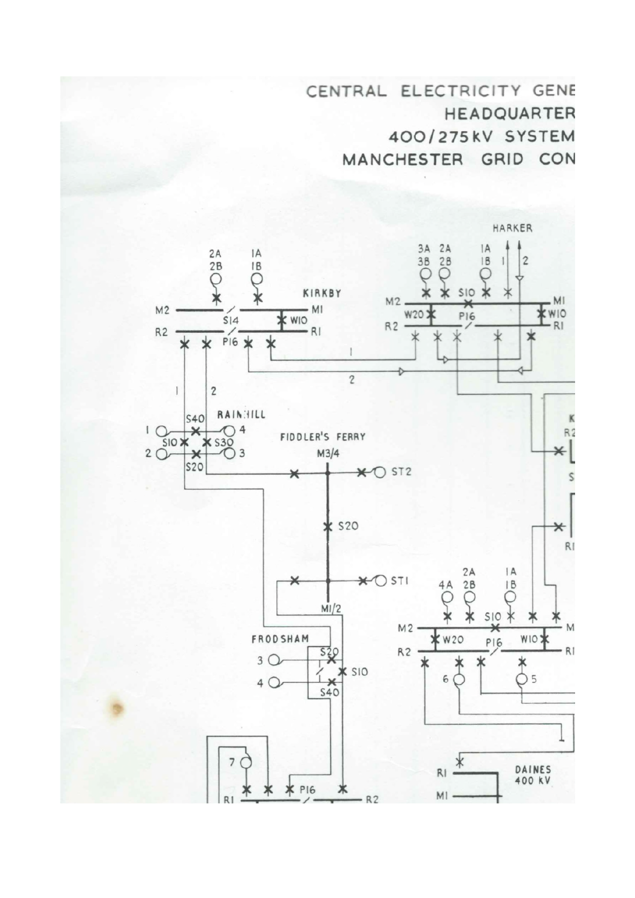CENTRAL ELECTRICITY GENE **HEADQUARTER** 400/275kV SYSTEM MANCHESTER GRID CON

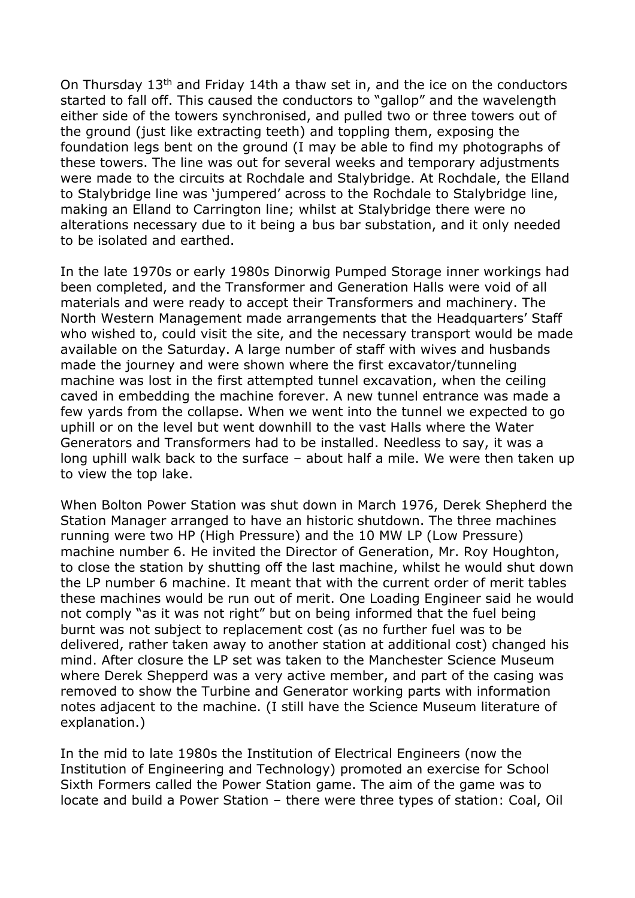On Thursday 13th and Friday 14th a thaw set in, and the ice on the conductors started to fall off. This caused the conductors to "gallop" and the wavelength either side of the towers synchronised, and pulled two or three towers out of the ground (just like extracting teeth) and toppling them, exposing the foundation legs bent on the ground (I may be able to find my photographs of these towers. The line was out for several weeks and temporary adjustments were made to the circuits at Rochdale and Stalybridge. At Rochdale, the Elland to Stalybridge line was 'jumpered' across to the Rochdale to Stalybridge line, making an Elland to Carrington line; whilst at Stalybridge there were no alterations necessary due to it being a bus bar substation, and it only needed to be isolated and earthed.

In the late 1970s or early 1980s Dinorwig Pumped Storage inner workings had been completed, and the Transformer and Generation Halls were void of all materials and were ready to accept their Transformers and machinery. The North Western Management made arrangements that the Headquarters' Staff who wished to, could visit the site, and the necessary transport would be made available on the Saturday. A large number of staff with wives and husbands made the journey and were shown where the first excavator/tunneling machine was lost in the first attempted tunnel excavation, when the ceiling caved in embedding the machine forever. A new tunnel entrance was made a few yards from the collapse. When we went into the tunnel we expected to go uphill or on the level but went downhill to the vast Halls where the Water Generators and Transformers had to be installed. Needless to say, it was a long uphill walk back to the surface – about half a mile. We were then taken up to view the top lake.

When Bolton Power Station was shut down in March 1976, Derek Shepherd the Station Manager arranged to have an historic shutdown. The three machines running were two HP (High Pressure) and the 10 MW LP (Low Pressure) machine number 6. He invited the Director of Generation, Mr. Roy Houghton, to close the station by shutting off the last machine, whilst he would shut down the LP number 6 machine. It meant that with the current order of merit tables these machines would be run out of merit. One Loading Engineer said he would not comply "as it was not right" but on being informed that the fuel being burnt was not subject to replacement cost (as no further fuel was to be delivered, rather taken away to another station at additional cost) changed his mind. After closure the LP set was taken to the Manchester Science Museum where Derek Shepperd was a very active member, and part of the casing was removed to show the Turbine and Generator working parts with information notes adjacent to the machine. (I still have the Science Museum literature of explanation.)

In the mid to late 1980s the Institution of Electrical Engineers (now the Institution of Engineering and Technology) promoted an exercise for School Sixth Formers called the Power Station game. The aim of the game was to locate and build a Power Station – there were three types of station: Coal, Oil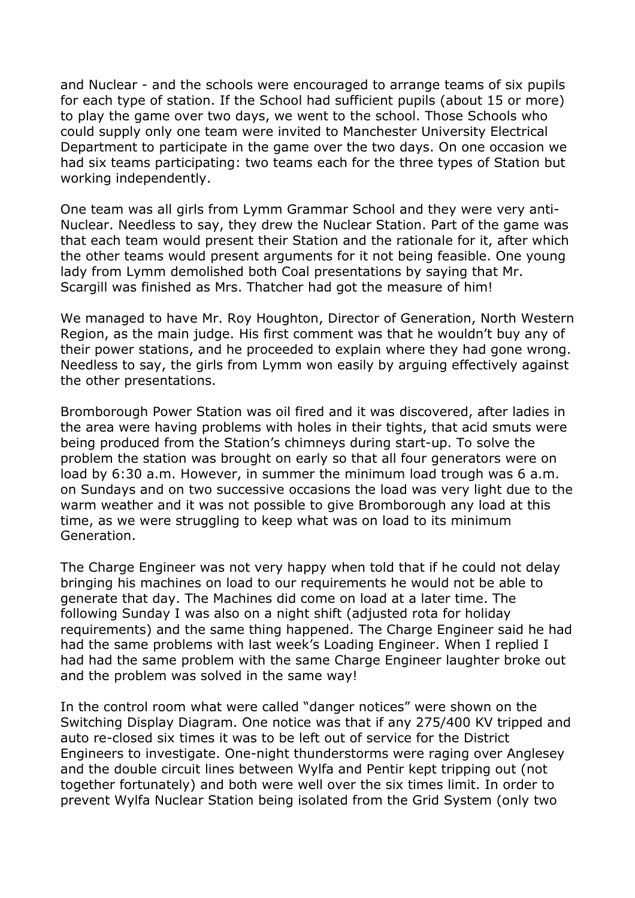and Nuclear - and the schools were encouraged to arrange teams of six pupils for each type of station. If the School had sufficient pupils (about 15 or more) to play the game over two days, we went to the school. Those Schools who could supply only one team were invited to Manchester University Electrical Department to participate in the game over the two days. On one occasion we had six teams participating: two teams each for the three types of Station but working independently.

One team was all girls from Lymm Grammar School and they were very anti-Nuclear. Needless to say, they drew the Nuclear Station. Part of the game was that each team would present their Station and the rationale for it, after which the other teams would present arguments for it not being feasible. One young lady from Lymm demolished both Coal presentations by saying that Mr. Scargill was finished as Mrs. Thatcher had got the measure of him!

We managed to have Mr. Roy Houghton, Director of Generation, North Western Region, as the main judge. His first comment was that he wouldn't buy any of their power stations, and he proceeded to explain where they had gone wrong. Needless to say, the girls from Lymm won easily by arguing effectively against the other presentations.

Bromborough Power Station was oil fired and it was discovered, after ladies in the area were having problems with holes in their tights, that acid smuts were being produced from the Station's chimneys during start-up. To solve the problem the station was brought on early so that all four generators were on load by 6:30 a.m. However, in summer the minimum load trough was 6 a.m. on Sundays and on two successive occasions the load was very light due to the warm weather and it was not possible to give Bromborough any load at this time, as we were struggling to keep what was on load to its minimum Generation.

The Charge Engineer was not very happy when told that if he could not delay bringing his machines on load to our requirements he would not be able to generate that day. The Machines did come on load at a later time. The following Sunday I was also on a night shift (adjusted rota for holiday requirements) and the same thing happened. The Charge Engineer said he had had the same problems with last week's Loading Engineer. When I replied I had had the same problem with the same Charge Engineer laughter broke out and the problem was solved in the same way!

In the control room what were called "danger notices" were shown on the Switching Display Diagram. One notice was that if any 275/400 KV tripped and auto re-closed six times it was to be left out of service for the District Engineers to investigate. One-night thunderstorms were raging over Anglesey and the double circuit lines between Wylfa and Pentir kept tripping out (not together fortunately) and both were well over the six times limit. In order to prevent Wylfa Nuclear Station being isolated from the Grid System (only two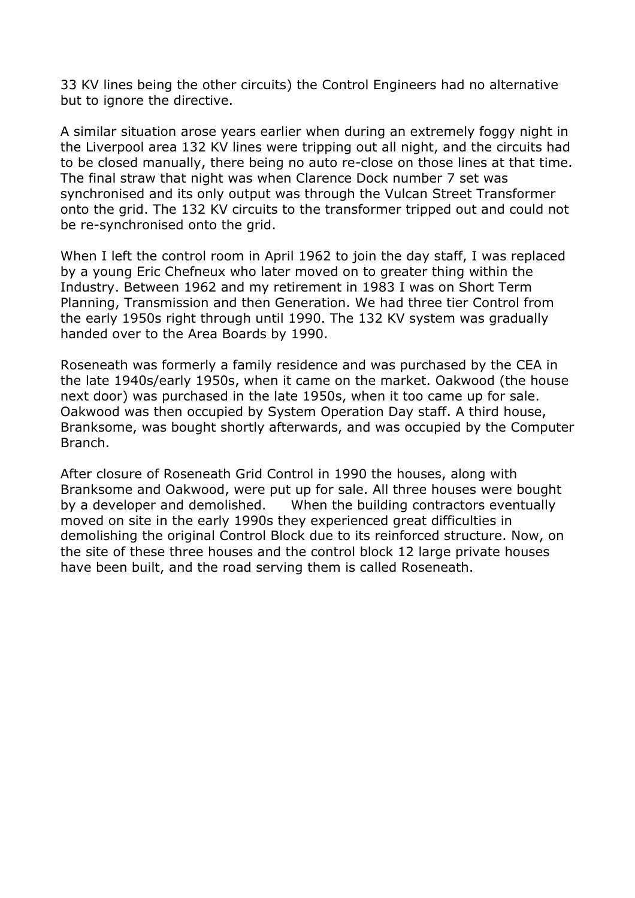33 KV lines being the other circuits) the Control Engineers had no alternative but to ignore the directive.

A similar situation arose years earlier when during an extremely foggy night in the Liverpool area 132 KV lines were tripping out all night, and the circuits had to be closed manually, there being no auto re-close on those lines at that time. The final straw that night was when Clarence Dock number 7 set was synchronised and its only output was through the Vulcan Street Transformer onto the grid. The 132 KV circuits to the transformer tripped out and could not be re-synchronised onto the grid.

When I left the control room in April 1962 to join the day staff, I was replaced by a young Eric Chefneux who later moved on to greater thing within the Industry. Between 1962 and my retirement in 1983 I was on Short Term Planning, Transmission and then Generation. We had three tier Control from the early 1950s right through until 1990. The 132 KV system was gradually handed over to the Area Boards by 1990.

Roseneath was formerly a family residence and was purchased by the CEA in the late 1940s/early 1950s, when it came on the market. Oakwood (the house next door) was purchased in the late 1950s, when it too came up for sale. Oakwood was then occupied by System Operation Day staff. A third house, Branksome, was bought shortly afterwards, and was occupied by the Computer Branch.

After closure of Roseneath Grid Control in 1990 the houses, along with Branksome and Oakwood, were put up for sale. All three houses were bought by a developer and demolished. When the building contractors eventually moved on site in the early 1990s they experienced great difficulties in demolishing the original Control Block due to its reinforced structure. Now, on the site of these three houses and the control block 12 large private houses have been built, and the road serving them is called Roseneath.